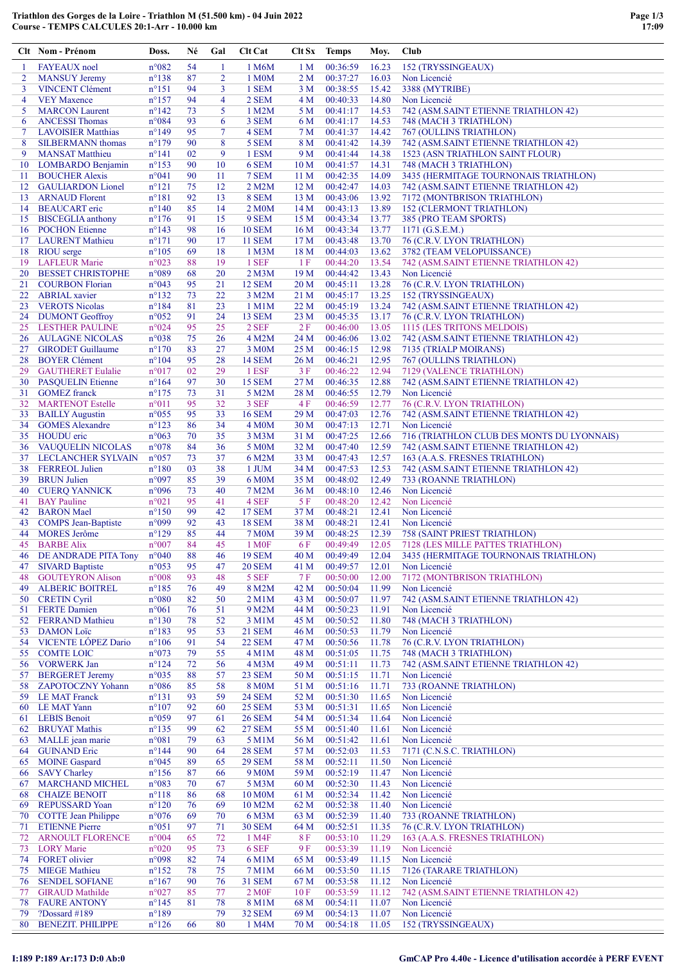|                | Clt Nom - Prénom                                 | Doss.                            | Né       | Gal            | <b>Clt Cat</b>                      |                                    | Clt Sx Temps         | Moy.           | Club                                                                       |
|----------------|--------------------------------------------------|----------------------------------|----------|----------------|-------------------------------------|------------------------------------|----------------------|----------------|----------------------------------------------------------------------------|
| -1             | <b>FAYEAUX</b> noel                              | $n^{\circ}082$                   | 54       | 1              | 1 M6M                               | 1 M                                | 00:36:59             | 16.23          | 152 (TRYSSINGEAUX)                                                         |
| $\overline{2}$ | <b>MANSUY Jeremy</b>                             | $n^{\circ}138$                   | 87       | $\overline{2}$ | 1 M <sub>0</sub> M                  | 2 M                                | 00:37:27             | 16.03          | Non Licencié                                                               |
| 3              | <b>VINCENT Clément</b>                           | $n^{\circ}151$                   | 94       | 3              | 1 SEM                               | 3 M                                | 00:38:55             | 15.42          | 3388 (MYTRIBE)                                                             |
| $\overline{4}$ | <b>VEY Maxence</b>                               | $n^{\circ}157$                   | 94       | 4              | 2 SEM                               | 4 M                                | 00:40:33             | 14.80          | Non Licencié                                                               |
| 5              | <b>MARCON</b> Laurent                            | $n^{\circ}142$                   | 73       | 5              | 1 M2M                               | 5 M                                | 00:41:17             | 14.53          | 742 (ASM.SAINT ETIENNE TRIATHLON 42)                                       |
| 6              | <b>ANCESSI Thomas</b>                            | $n^{\circ}084$                   | 93       | 6              | 3 SEM                               | 6 M                                | 00:41:17             | 14.53          | 748 (MACH 3 TRIATHLON)                                                     |
| $\overline{7}$ | <b>LAVOISIER Matthias</b>                        | $n^{\circ}149$                   | 95       | $\tau$         | 4 SEM                               | 7 M                                | 00:41:37             | 14.42          | 767 (OULLINS TRIATHLON)                                                    |
| 8              | <b>SILBERMANN</b> thomas                         | $n^{\circ}179$                   | 90       | 8              | 5 SEM                               | 8 M                                | 00:41:42             | 14.39          | 742 (ASM.SAINT ETIENNE TRIATHLON 42)                                       |
| 9              | <b>MANSAT Matthieu</b>                           | $n^{\circ}141$                   | 02       | 9              | 1 ESM                               | 9 M                                | 00:41:44             | 14.38          | 1523 (ASN TRIATHLON SAINT FLOUR)                                           |
| 10<br>11       | LOMBARDO Benjamin<br><b>BOUCHER Alexis</b>       | $n^{\circ}153$<br>$n^{\circ}041$ | 90<br>90 | 10<br>11       | 6 SEM<br>7 SEM                      | 10 <sub>M</sub><br>11 <sub>M</sub> | 00:41:57<br>00:42:35 | 14.31<br>14.09 | 748 (MACH 3 TRIATHLON)<br>3435 (HERMITAGE TOURNONAIS TRIATHLON)            |
| 12             | <b>GAULIARDON Lionel</b>                         | $n^{\circ}121$                   | 75       | 12             | 2 M2M                               | 12 <sub>M</sub>                    | 00:42:47             | 14.03          | 742 (ASM.SAINT ETIENNE TRIATHLON 42)                                       |
| 13             | <b>ARNAUD Florent</b>                            | $n^{\circ}181$                   | 92       | 13             | 8 SEM                               | 13 M                               | 00:43:06             | 13.92          | 7172 (MONTBRISON TRIATHLON)                                                |
| 14             | <b>BEAUCART</b> eric                             | $n^{\circ}140$                   | 85       | 14             | 2 M <sub>0</sub> M                  | 14 <sub>M</sub>                    | 00:43:13             | 13.89          | <b>152 (CLERMONT TRIATHLON)</b>                                            |
|                | 15 BISCEGLIA anthony                             | $n^{\circ}176$                   | 91       | 15             | 9 SEM                               | 15 <sub>M</sub>                    | 00:43:34             | 13.77          | 385 (PRO TEAM SPORTS)                                                      |
| 16             | <b>POCHON Etienne</b>                            | $n^{\circ}143$                   | 98       | 16             | <b>10 SEM</b>                       | 16 <sub>M</sub>                    | 00:43:34             | 13.77          | 1171 $(G.S.E.M.)$                                                          |
|                | 17 LAURENT Mathieu                               | $n^{\circ}171$                   | 90       | 17             | <b>11 SEM</b>                       | 17 <sub>M</sub>                    | 00:43:48             | 13.70          | 76 (C.R.V. LYON TRIATHLON)                                                 |
| 18             | <b>RIOU</b> serge                                | $n^{\circ}105$                   | 69       | 18             | 1 M <sub>3</sub> M                  | 18 M                               | 00:44:03             | 13.62          | 3782 (TEAM VELOPUISSANCE)                                                  |
| 19             | <b>LAFLEUR Marie</b>                             | $n^{\circ}023$                   | 88       | 19             | 1 SEF                               | 1F                                 | 00:44:20             | 13.54          | 742 (ASM.SAINT ETIENNE TRIATHLON 42)                                       |
| 20             | <b>BESSET CHRISTOPHE</b>                         | n°089                            | 68       | 20             | 2 M <sub>3</sub> M                  | 19 <sub>M</sub>                    | 00:44:42             | 13.43          | Non Licencié                                                               |
| 21             | <b>COURBON Florian</b>                           | n°043                            | 95       | 21             | <b>12 SEM</b>                       | 20 <sub>M</sub>                    | 00:45:11             | 13.28          | 76 (C.R.V. LYON TRIATHLON)                                                 |
| 22             | <b>ABRIAL</b> xavier                             | $n^{\circ}132$                   | 73       | 22             | 3 M2M                               | 21 M                               | 00:45:17             | 13.25          | 152 (TRYSSINGEAUX)                                                         |
| 23             | <b>VEROTS</b> Nicolas                            | $n^{\circ}184$                   | 81       | 23             | 1 M1M                               | 22 M                               | 00:45:19             | 13.24          | 742 (ASM.SAINT ETIENNE TRIATHLON 42)                                       |
| 24             | <b>DUMONT</b> Geoffroy                           | $n^{\circ}052$                   | 91       | 24             | <b>13 SEM</b>                       | 23 M                               | 00:45:35             | 13.17          | 76 (C.R.V. LYON TRIATHLON)                                                 |
| 25             | <b>LESTHER PAULINE</b>                           | $n^{\circ}024$                   | 95       | 25             | 2 SEF                               | 2F                                 | 00:46:00             | 13.05          | 1115 (LES TRITONS MELDOIS)                                                 |
| 26<br>27       | <b>AULAGNE NICOLAS</b>                           | n°038<br>$n^{\circ}170$          | 75<br>83 | 26<br>27       | 4 M2M                               | 24 M<br>25 M                       | 00:46:06<br>00:46:15 | 13.02          | 742 (ASM.SAINT ETIENNE TRIATHLON 42)                                       |
| 28             | <b>GIRODET</b> Guillaume<br><b>BOYER Clément</b> | $n^{\circ}104$                   | 95       | 28             | 3 M <sub>0</sub> M<br><b>14 SEM</b> | 26 M                               | 00:46:21             | 12.98<br>12.95 | 7135 (TRIALP MOIRANS)<br>767 (OULLINS TRIATHLON)                           |
| 29             | <b>GAUTHERET Eulalie</b>                         | $n^{\circ}017$                   | 02       | 29             | 1 ESF                               | 3F                                 | 00:46:22             | 12.94          | 7129 (VALENCE TRIATHLON)                                                   |
| 30             | <b>PASQUELIN Etienne</b>                         | $n^{\circ}164$                   | 97       | 30             | <b>15 SEM</b>                       | 27 M                               | 00:46:35             | 12.88          | 742 (ASM.SAINT ETIENNE TRIATHLON 42)                                       |
| 31             | <b>GOMEZ</b> franck                              | $n^{\circ}175$                   | 73       | 31             | 5 M2M                               | 28 M                               | 00:46:55             | 12.79          | Non Licencié                                                               |
| 32             | <b>MARTENOT Estelle</b>                          | $n^{\circ}011$                   | 95       | 32             | 3 SEF                               | 4F                                 | 00:46:59             | 12.77          | 76 (C.R.V. LYON TRIATHLON)                                                 |
| 33             | <b>BAILLY Augustin</b>                           | $n^{\circ}055$                   | 95       | 33             | <b>16 SEM</b>                       | 29 <sub>M</sub>                    | 00:47:03             | 12.76          | 742 (ASM.SAINT ETIENNE TRIATHLON 42)                                       |
| 34             | <b>GOMES Alexandre</b>                           | $n^{\circ}123$                   | 86       | 34             | 4 M <sub>0</sub> M                  | 30 <sub>M</sub>                    | 00:47:13             | 12.71          | Non Licencié                                                               |
| 35             | <b>HOUDU</b> eric                                | $n^{\circ}063$                   | 70       | 35             | 3 M3M                               | 31 M                               | 00:47:25             | 12.66          | 716 (TRIATHLON CLUB DES MONTS DU LYONNAIS)                                 |
| 36             | <b>VAUQUELIN NICOLAS</b>                         | $n^{\circ}078$                   | 84       | 36             | 5 M <sub>0</sub> M                  | 32 M                               | 00:47:40             | 12.59          | 742 (ASM.SAINT ETIENNE TRIATHLON 42)                                       |
| 37             | LECLANCHER SYLVAIN                               | $n^{\circ}057$                   | 73       | 37             | 6 M2M                               | 33 M                               | 00:47:43             | 12.57          | 163 (A.A.S. FRESNES TRIATHLON)                                             |
| 38             | <b>FERREOL Julien</b>                            | $n^{\circ}180$                   | 03       | 38             | $1$ JUM                             | 34 M                               | 00:47:53             | 12.53          | 742 (ASM.SAINT ETIENNE TRIATHLON 42)                                       |
| 39             | <b>BRUN Julien</b>                               | n°097                            | 85       | 39             | 6 M <sub>0</sub> M                  | 35 M                               | 00:48:02             | 12.49          | 733 (ROANNE TRIATHLON)                                                     |
| 40             | <b>CUERQ YANNICK</b>                             | $n^{\circ}096$                   | 73       | 40             | 7 M2M                               | 36 M                               | 00:48:10             | 12.46          | Non Licencié                                                               |
| 41             | <b>BAY</b> Pauline                               | $n^{\circ}021$                   | 95       | 41             | 4 SEF                               | 5 F                                | 00:48:20             | 12.42          | Non Licencié                                                               |
| 42             | <b>BARON</b> Mael                                | $n^{\circ}150$                   | 99       | 42             | <b>17 SEM</b>                       | 37 M                               | 00:48:21             | 12.41          | Non Licencié                                                               |
| 43             | <b>COMPS Jean-Baptiste</b>                       | n°099                            | 92       | 43             | <b>18 SEM</b>                       | 38 M                               | 00:48:21             | 12.41          | Non Licencié<br><b>758 (SAINT PRIEST TRIATHLON)</b>                        |
| 44             | <b>MORES</b> Jerôme                              | $n^{\circ}129$                   | 85<br>84 | 44             | <b>7 M0M</b>                        | 39 M                               | 00:48:25             | 12.39          |                                                                            |
| 45<br>46       | <b>BARBE Alix</b><br>DE ANDRADE PITA Tony        | $n^{\circ}007$<br>$n^{\circ}040$ | 88       | 45<br>46       | 1 M <sub>OF</sub><br><b>19 SEM</b>  | 6 F<br>40 M                        | 00:49:49<br>00:49:49 | 12.05<br>12.04 | 7128 (LES MILLE PATTES TRIATHLON)<br>3435 (HERMITAGE TOURNONAIS TRIATHLON) |
| 47             | <b>SIVARD Baptiste</b>                           | $n^{\circ}053$                   | 95       | 47             | <b>20 SEM</b>                       | 41 M                               | 00:49:57             | 12.01          | Non Licencié                                                               |
| 48             | <b>GOUTEYRON Alison</b>                          | $n^{\circ}008$                   | 93       | 48             | 5 SEF                               | 7F                                 | 00:50:00             | 12.00          | 7172 (MONTBRISON TRIATHLON)                                                |
| 49             | <b>ALBERIC BOITREL</b>                           | $n^{\circ}185$                   | 76       | 49             | 8 M2M                               | 42 M                               | 00:50:04             | 11.99          | Non Licencié                                                               |
| 50             | <b>CRETIN Cyril</b>                              | $n^{\circ}080$                   | 82       | 50             | 2 M1M                               | 43 M                               | 00:50:07             | 11.97          | 742 (ASM.SAINT ETIENNE TRIATHLON 42)                                       |
|                | 51 FERTE Damien                                  | $n^{\circ}061$                   | 76       | 51             | 9 M2M                               | 44 M                               | 00:50:23             | 11.91          | Non Licencié                                                               |
| 52             | <b>FERRAND Mathieu</b>                           | $n^{\circ}130$                   | 78       | 52             | 3 M1M                               | 45 M                               | 00:50:52             | 11.80          | 748 (MACH 3 TRIATHLON)                                                     |
| 53             | <b>DAMON</b> Loïc                                | $n^{\circ}183$                   | 95       | 53             | <b>21 SEM</b>                       | 46 M                               | 00:50:53             | 11.79          | Non Licencié                                                               |
| 54             | VICENTE LÓPEZ Dario                              | $n^{\circ}106$                   | 91       | 54             | <b>22 SEM</b>                       | 47 M                               | 00:50:56             | 11.78          | 76 (C.R.V. LYON TRIATHLON)                                                 |
| 55             | <b>COMTE LOIC</b>                                | $n^{\circ}073$                   | 79       | 55             | 4 M1M                               | 48 M                               | 00:51:05             | 11.75          | 748 (MACH 3 TRIATHLON)                                                     |
|                | 56 VORWERK Jan                                   | $n^{\circ}124$                   | 72       | 56             | 4 M3M                               | 49 M                               | 00:51:11             | 11.73          | 742 (ASM.SAINT ETIENNE TRIATHLON 42)                                       |
| 57             | <b>BERGERET Jeremy</b>                           | $n^{\circ}035$                   | 88       | 57             | 23 SEM                              | 50 M                               | 00:51:15             | 11.71          | Non Licencié                                                               |
| 58             | <b>ZAPOTOCZNY Yohann</b>                         | $n^{\circ}086$                   | 85       | 58             | <b>8 M0M</b>                        | 51 M                               | 00:51:16             | 11.71          | 733 (ROANNE TRIATHLON)                                                     |
| 59             | <b>LE MAT Franck</b>                             | $n^{\circ}131$                   | 93       | 59             | <b>24 SEM</b>                       | 52 M                               | 00:51:30             | 11.65          | Non Licencié                                                               |
|                | 60 LE MAT Yann<br><b>LEBIS Benoit</b>            | $n^{\circ}107$<br>n°059          | 92<br>97 | 60<br>61       | <b>25 SEM</b><br><b>26 SEM</b>      | 53 M<br>54 M                       | 00:51:31<br>00:51:34 | 11.65<br>11.64 | Non Licencié<br>Non Licencié                                               |
| 61<br>62       | <b>BRUYAT Mathis</b>                             | $n^{\circ}$ 135                  | 99       | 62             | <b>27 SEM</b>                       | 55 M                               | 00:51:40             | 11.61          | Non Licencié                                                               |
| 63             | MALLE jean marie                                 | $n^{\circ}081$                   | 79       | 63             | 5 M1M                               | 56 M                               | 00:51:42             | 11.61          | Non Licencié                                                               |
| 64             | <b>GUINAND Eric</b>                              | $n^{\circ}$ 144                  | 90       | 64             | <b>28 SEM</b>                       | 57 M                               | 00:52:03             | 11.53          | 7171 (C.N.S.C. TRIATHLON)                                                  |
| 65             | <b>MOINE</b> Gaspard                             | $n^{\circ}045$                   | 89       | 65             | <b>29 SEM</b>                       | 58 M                               | 00:52:11             | 11.50          | Non Licencié                                                               |
| 66             | <b>SAVY Charley</b>                              | $n^{\circ}156$                   | 87       | 66             | 9 M <sub>0</sub> M                  | 59 M                               | 00:52:19             | 11.47          | Non Licencié                                                               |
| 67             | <b>MARCHAND MICHEL</b>                           | n°083                            | 70       | 67             | 5 M3M                               | 60 <sub>M</sub>                    | 00:52:30             | 11.43          | Non Licencié                                                               |
| 68             | <b>CHAIZE BENOIT</b>                             | $n^{\circ}118$                   | 86       | 68             | 10 M <sub>0</sub> M                 | 61 M                               | 00:52:34             | 11.42          | Non Licencié                                                               |
| 69             | <b>REPUSSARD Yoan</b>                            | $n^{\circ}120$                   | 76       | 69             | 10 M2M                              | 62 M                               | 00:52:38             | 11.40          | Non Licencié                                                               |
| 70             | <b>COTTE Jean Philippe</b>                       | $n^{\circ}076$                   | 69       | 70             | 6 M3M                               | 63 M                               | 00:52:39             | 11.40          | 733 (ROANNE TRIATHLON)                                                     |
| 71             | <b>ETIENNE Pierre</b>                            | $n^{\circ}051$                   | 97       | 71             | <b>30 SEM</b>                       | 64 M                               | 00:52:51             | 11.35          | 76 (C.R.V. LYON TRIATHLON)                                                 |
| 72             | <b>ARNOULT FLORENCE</b>                          | $n^{\circ}004$                   | 65       | 72             | 1 M4F                               | 8 F                                | 00:53:10             | 11.29          | 163 (A.A.S. FRESNES TRIATHLON)                                             |
| 73             | <b>LORY</b> Marie                                | $n^{\circ}020$                   | 95       | 73             | 6 SEF                               | 9F                                 | 00:53:39             | 11.19          | Non Licencié                                                               |
| 74             | FORET olivier                                    | n°098                            | 82       | 74             | 6 M1M                               | 65 M                               | 00:53:49             | 11.15          | Non Licencié                                                               |
| 75             | <b>MIEGE Mathieu</b>                             | $n^{\circ}152$                   | 78       | 75             | 7 M1M                               | 66 M                               | 00:53:50             | 11.15          | 7126 (TARARE TRIATHLON)                                                    |
| 76             | <b>SENDEL SOFIANE</b>                            | $n^{\circ}167$                   | 90       | 76             | <b>31 SEM</b>                       | 67 M                               | 00:53:58             | 11.12          | Non Licencié                                                               |
| 77             | <b>GIRAUD</b> Mathilde                           | $n^{\circ}027$                   | 85       | 77             | 2 M <sub>OF</sub>                   | 10F                                | 00:53:59             | 11.12          | 742 (ASM.SAINT ETIENNE TRIATHLON 42)                                       |
| 78             | <b>FAURE ANTONY</b><br>?Dossard #189             | $n^{\circ}145$<br>$n^{\circ}189$ | 81       | 78<br>79       | 8 M1M<br>32 SEM                     | 68 M                               | 00:54:11<br>00:54:13 | 11.07          | Non Licencié<br>Non Licencié                                               |
| 79<br>80       | <b>BENEZIT. PHILIPPE</b>                         | $n^{\circ}126$                   | 66       | 80             | 1 M4M                               | 69 M<br>70 M                       | 00:54:18             | 11.07<br>11.05 | 152 (TRYSSINGEAUX)                                                         |
|                |                                                  |                                  |          |                |                                     |                                    |                      |                |                                                                            |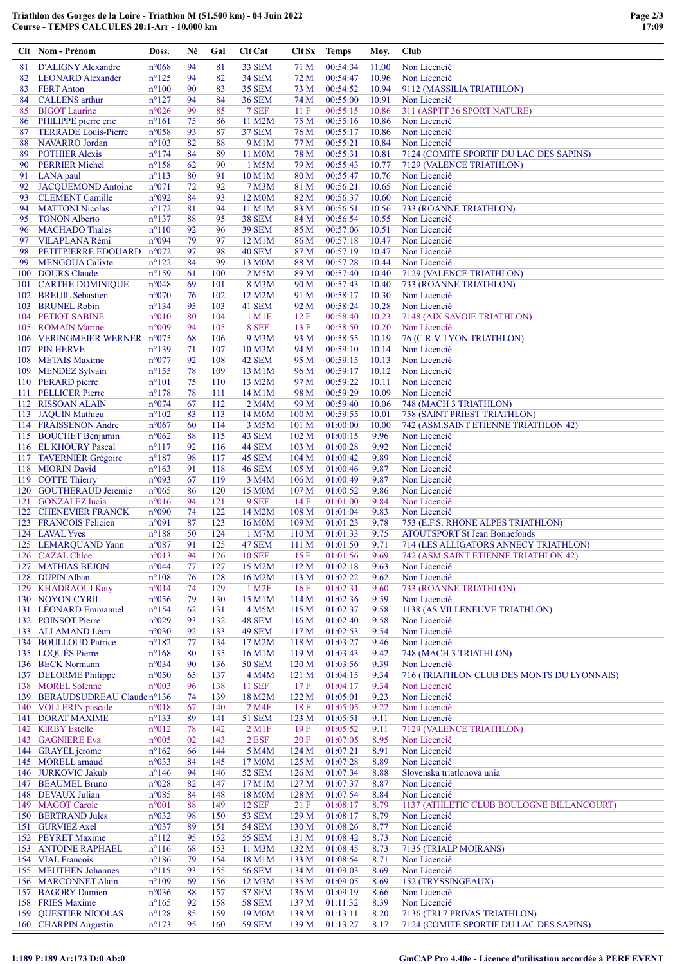|          | Clt Nom - Prénom                                    | Doss.                             | Né       | Gal            | Clt Cat                              | Clt Sx                    | Temps                | Moy.           | Club                                                      |
|----------|-----------------------------------------------------|-----------------------------------|----------|----------------|--------------------------------------|---------------------------|----------------------|----------------|-----------------------------------------------------------|
| 81       | <b>D'ALIGNY Alexandre</b>                           | $n^{\circ}068$                    | 94       | 81             | 33 SEM                               | 71 M                      | 00:54:34             | 11.00          | Non Licencié                                              |
| 82       | <b>LEONARD Alexander</b>                            | $n^{\circ}125$                    | 94       | 82             | <b>34 SEM</b>                        | 72 M                      | 00:54:47             | 10.96          | Non Licencié                                              |
| 83       | <b>FERT Anton</b>                                   | $n^{\circ}100$                    | 90       | 83             | <b>35 SEM</b>                        | 73 M                      | 00:54:52             | 10.94          | 9112 (MASSILIA TRIATHLON)                                 |
| 84       | <b>CALLENS</b> arthur                               | $n^{\circ}127$                    | 94       | 84             | <b>36 SEM</b>                        | 74 M                      | 00:55:00             | 10.91          | Non Licencié                                              |
| 85<br>86 | <b>BIGOT</b> Laurine<br>PHILIPPE pierre eric        | n°026<br>$n^{\circ}161$           | 99<br>75 | 85<br>86       | 7 SEF<br>11 M2M                      | 11F<br>75 M               | 00:55:15<br>00:55:16 | 10.86<br>10.86 | 311 (ASPTT 36 SPORT NATURE)<br>Non Licencié               |
| 87       | <b>TERRADE</b> Louis-Pierre                         | n°058                             | 93       | 87             | <b>37 SEM</b>                        | 76 M                      | 00:55:17             | 10.86          | Non Licencié                                              |
| 88       | <b>NAVARRO</b> Jordan                               | $n^{\circ}103$                    | 82       | 88             | 9 M1M                                | 77 M                      | 00:55:21             | 10.84          | Non Licencié                                              |
| 89       | <b>POTHIER Alexis</b>                               | $n^{\circ}174$                    | 84       | 89             | 11 M0M                               | 78 M                      | 00:55:31             | 10.81          | 7124 (COMITE SPORTIF DU LAC DES SAPINS)                   |
| 90       | <b>PERRIER Michel</b>                               | $n^{\circ}158$                    | 62       | 90             | 1 M5M                                | 79 M                      | 00:55:43             | 10.77          | 7129 (VALENCE TRIATHLON)                                  |
| 91       | LANA paul                                           | $n^{\circ}113$                    | 80       | 91             | 10 M1M                               | 80 M                      | 00:55:47             | 10.76          | Non Licencié                                              |
| 92       | <b>JACQUEMOND Antoine</b>                           | n°071                             | 72       | 92             | 7 M3M                                | 81 M                      | 00:56:21             | 10.65          | Non Licencié                                              |
| 93       | <b>CLEMENT</b> Camille                              | n°092                             | 84       | 93             | 12 M <sub>0</sub> M                  | 82 M                      | 00:56:37             | 10.60          | Non Licencié                                              |
| 94<br>95 | <b>MATTONI</b> Nicolas<br><b>TONON Alberto</b>      | $n^{\circ}172$<br>$n^{\circ}137$  | 81<br>88 | 94<br>95       | 11 M1M<br><b>38 SEM</b>              | 83 M<br>84 M              | 00:56:51<br>00:56:54 | 10.56<br>10.55 | 733 (ROANNE TRIATHLON)<br>Non Licencié                    |
| 96       | <b>MACHADO Thales</b>                               | $n^{\circ}110$                    | 92       | 96             | <b>39 SEM</b>                        | 85 M                      | 00:57:06             | 10.51          | Non Licencié                                              |
| 97       | VILAPLANA Rémi                                      | n°094                             | 79       | 97             | 12 M1M                               | 86 M                      | 00:57:18             | 10.47          | Non Licencié                                              |
| 98       | PETITPIERRE EDOUARD                                 | $n^{\circ}072$                    | 97       | 98             | <b>40 SEM</b>                        | 87 M                      | 00:57:19             | 10.47          | Non Licencié                                              |
| 99       | <b>MENGOUA Calixte</b>                              | $n^{\circ}122$                    | 84       | 99             | 13 M <sub>0</sub> M                  | 88 M                      | 00:57:28             | 10.44          | Non Licencié                                              |
|          | 100 DOURS Claude                                    | $n^{\circ}159$                    | 61       | 100            | 2 M <sub>5</sub> M                   | 89 M                      | 00:57:40             | 10.40          | 7129 (VALENCE TRIATHLON)                                  |
|          | 101 CARTHE DOMINIQUE                                | n°048                             | 69       | 101            | 8 M3M                                | 90 M                      | 00:57:43             | 10.40          | 733 (ROANNE TRIATHLON)                                    |
|          | 102 BREUIL Sébastien                                | n°070                             | 76<br>95 | 102<br>103     | 12 M2M                               | 91 M                      | 00:58:17<br>00:58:24 | 10.30<br>10.28 | Non Licencié<br>Non Licencié                              |
|          | 103 BRUNEL Robin<br>104 PETIOT SABINE               | $n^{\circ}$ 134<br>$n^{\circ}010$ | 80       | 104            | 41 SEM<br>$1$ M $1$ F                | 92 M<br>12F               | 00:58:40             | 10.23          | 7148 (AIX SAVOIE TRIATHLON)                               |
|          | 105 ROMAIN Marine                                   | n°009                             | 94       | 105            | 8 SEF                                | 13 F                      | 00:58:50             | 10.20          | Non Licencié                                              |
|          | 106 VERINGMEIER WERNER                              | $n^{\circ}075$                    | 68       | 106            | 9 <sub>M3M</sub>                     | 93 M                      | 00:58:55             | 10.19          | 76 (C.R.V. LYON TRIATHLON)                                |
|          | 107 PIN HERVE                                       | $n^{\circ}139$                    | 71       | 107            | 10 M3M                               | 94 M                      | 00:59:10             | 10.14          | Non Licencié                                              |
|          | 108 MÉTAIS Maxime                                   | n°077                             | 92       | 108            | 42 SEM                               | 95 M                      | 00:59:15             | 10.13          | Non Licencié                                              |
|          | 109 MENDEZ Sylvain                                  | $n^{\circ}155$                    | 78       | 109            | 13 M1M                               | 96 M                      | 00:59:17             | 10.12          | Non Licencié                                              |
|          | 110 PERARD pierre                                   | $n^{\circ}101$                    | 75       | <b>110</b>     | 13 M2M                               | 97 M                      | 00:59:22             | 10.11          | Non Licencié                                              |
|          | 111 PELLICER Pierre                                 | $n^{\circ}178$                    | 78       | 111            | 14 M1M                               | 98 M                      | 00:59:29             | 10.09          | Non Licencié                                              |
|          | 112 RISSOAN ALAIN<br>113 JAQUIN Mathieu             | n°074<br>$n^{\circ}102$           | 67<br>83 | 112<br>113     | 2 M4M<br>14 M <sub>0</sub> M         | 99 M<br>100 M             | 00:59:40<br>00:59:55 | 10.06<br>10.01 | 748 (MACH 3 TRIATHLON)<br>758 (SAINT PRIEST TRIATHLON)    |
|          | 114 FRAISSENON Andre                                | $n^{\circ}067$                    | 60       | 114            | 3 M <sub>5</sub> M                   | 101 <sub>M</sub>          | 01:00:00             | 10.00          | 742 (ASM.SAINT ETIENNE TRIATHLON 42)                      |
|          | 115 BOUCHET Benjamin                                | $n^{\circ}062$                    | 88       | 115            | 43 SEM                               | 102 M                     | 01:00:15             | 9.96           | Non Licencié                                              |
|          | 116 EL KHOURY Pascal                                | $n^{\circ}117$                    | 92       | <sup>116</sup> | <b>44 SEM</b>                        | 103 M                     | 01:00:28             | 9.92           | Non Licencié                                              |
|          | 117 TAVERNIER Grégoire                              | $n^{\circ}187$                    | 98       | 117            | 45 SEM                               | 104 M                     | 01:00:42             | 9.89           | Non Licencié                                              |
|          | 118 MIORIN David                                    | $n^{\circ}163$                    | 91       | 118            | <b>46 SEM</b>                        | 105 M                     | 01:00:46             | 9.87           | Non Licencié                                              |
|          | 119 COTTE Thierry                                   | n°093                             | 67       | 119            | 3 M4M                                | 106 <sub>M</sub>          | 01:00:49             | 9.87           | Non Licencié                                              |
|          | 120 GOUTHERAUD Jeremie                              | $n^{\circ}065$                    | 86       | 120            | 15 M <sub>0</sub> M                  | 107 <sub>M</sub>          | 01:00:52             | 9.86           | Non Licencié                                              |
|          | 121 GONZALEZ lucia                                  | $n^{\circ}016$                    | 94<br>74 | 121<br>122     | 9 SEF                                | 14F                       | 01:01:00<br>01:01:04 | 9.84<br>9.83   | Non Licencié<br>Non Licencié                              |
|          | 122 CHENEVIER FRANCK<br>123 FRANCOIS Felicien       | n°090<br>n°091                    | 87       | 123            | 14 M2M<br>16 M <sub>0</sub> M        | 108 <sub>M</sub><br>109 M | 01:01:23             | 9.78           | 753 (E.F.S. RHONE ALPES TRIATHLON)                        |
|          | 124 LAVAL Yves                                      | $n^{\circ}188$                    | 50       | 124            | 1 M7M                                | 110 <sub>M</sub>          | 01:01:33             | 9.75           | <b>ATOUTSPORT St Jean Bonnefonds</b>                      |
|          | 125 LEMARQUAND Yann                                 | n°087                             | 91       | 125            | 47 SEM                               | 111 M                     | 01:01:50             | 9.71           | 714 (LES ALLIGATORS ANNECY TRIATHLON)                     |
|          | 126 CAZAL Chloe                                     | $n^{\circ}013$                    | 94       | 126            | <b>10 SEF</b>                        | 15 F                      | 01:01:56             | 9.69           | 742 (ASM.SAINT ETIENNE TRIATHLON 42)                      |
|          | 127 MATHIAS BEJON                                   | n°044                             | 77       | 127            | 15 M2M                               | 112 M                     | 01:02:18             | 9.63           | Non Licencié                                              |
|          | 128 DUPIN Alban                                     | $n^{\circ}108$                    | 76       | 128            | 16 M2M                               | 113M                      | 01:02:22             | 9.62           | Non Licencié                                              |
|          | 129 KHADRAOUI Katy<br>130 NOYON CYRIL               | n°014                             | 74       | 129            | 1 M <sub>2</sub> F                   | 16F                       | 01:02:31             | 9.60           | 733 (ROANNE TRIATHLON)<br>Non Licencié                    |
|          | 131 LÉONARD Emmanuel                                | n°056<br>$n^{\circ}154$           | 79<br>62 | 130<br>131     | 15 M1M<br>4 M5M                      | 114M<br>115M              | 01:02:36<br>01:02:37 | 9.59<br>9.58   | 1138 (AS VILLENEUVE TRIATHLON)                            |
|          | 132 POINSOT Pierre                                  | n°029                             | 93       | 132            | 48 SEM                               | 116M                      | 01:02:40             | 9.58           | Non Licencié                                              |
|          | 133 ALLAMAND Léon                                   | n°030                             | 92       | 133            | <b>49 SEM</b>                        | 117 <sub>M</sub>          | 01:02:53             | 9.54           | Non Licencié                                              |
|          | 134 BOULLOUD Patrice                                | $n^{\circ}182$                    | 77       | 134            | 17 M2M                               | 118 M                     | 01:03:27             | 9.46           | Non Licencié                                              |
|          | 135 LOQUES Pierre                                   | $n^{\circ}168$                    | 80       | 135            | 16 M1M                               | 119 <sub>M</sub>          | 01:03:43             | 9.42           | 748 (MACH 3 TRIATHLON)                                    |
|          | 136 BECK Normann                                    | n°034                             | 90       | 136            | <b>50 SEM</b>                        | 120 M                     | 01:03:56             | 9.39           | Non Licencié                                              |
|          | 137 DELORME Philippe                                | $n^{\circ}050$                    | 65       | 137            | 4 M4M                                | 121 <sub>M</sub>          | 01:04:15             | 9.34           | 716 (TRIATHLON CLUB DES MONTS DU LYONNAIS)                |
|          | 138 MOREL Solenne<br>139 BERAUDSUDREAU Claude n°136 | n°003                             | 96       | 138            | <b>11 SEF</b>                        | 17F                       | 01:04:17             | 9.34           | Non Licencié                                              |
|          | 140 VOLLERIN pascale                                | n°018                             | 74<br>67 | 139<br>140     | 18 M2M<br>2 M4F                      | 122 M<br>18F              | 01:05:01<br>01:05:05 | 9.23<br>9.22   | Non Licencié<br>Non Licencié                              |
|          | 141 DORAT MAXIME                                    | $n^{\circ}133$                    | 89       | 141            | <b>51 SEM</b>                        | 123 M                     | 01:05:51             | 9.11           | Non Licencié                                              |
|          | 142 KIRBY Estelle                                   | n°012                             | 78       | 142            | $2$ M <sub>1</sub> $F$               | 19F                       | 01:05:52             | 9.11           | 7129 (VALENCE TRIATHLON)                                  |
|          | 143 GAGNIERE Eva                                    | n°005                             | 02       | 143            | 2 ESF                                | 20F                       | 01:07:05             | 8.95           | Non Licencié                                              |
|          | 144 GRAYEL jerome                                   | $n^{\circ}162$                    | 66       | 144            | 5 M4M                                | 124M                      | 01:07:21             | 8.91           | Non Licencié                                              |
|          | 145 MORELL arnaud                                   | n°033                             | 84       | 145            | 17 M <sub>0</sub> M                  | 125 <sub>M</sub>          | 01:07:28             | 8.89           | Non Licencié                                              |
|          | 146 JURKOVIC Jakub                                  | $n^{\circ}$ 146                   | 94       | 146            | <b>52 SEM</b>                        | 126 M                     | 01:07:34             | 8.88           | Slovenska triatlonova unia                                |
|          | 147 BEAUMEL Bruno                                   | n°028                             | 82       | 147            | 17 M1M                               | 127 M                     | 01:07:37             | 8.87           | Non Licencié                                              |
|          | 148 DEVAUX Julian                                   | n°085                             | 84<br>88 | 148            | 18 M <sub>0</sub> M                  | 128 M                     | 01:07:54             | 8.84           | Non Licencié                                              |
|          | 149 MAGOT Carole<br>150 BERTRAND Jules              | $n^{\circ}001$<br>n°032           | 98       | 149<br>150     | <b>12 SEF</b><br><b>53 SEM</b>       | 21F<br>129 M              | 01:08:17<br>01:08:17 | 8.79<br>8.79   | 1137 (ATHLETIC CLUB BOULOGNE BILLANCOURT)<br>Non Licencié |
|          | 151 GURVIEZ Axel                                    | n°037                             | 89       | 151            | <b>54 SEM</b>                        | 130 M                     | 01:08:26             | 8.77           | Non Licencié                                              |
|          | 152 PEYRET Maxime                                   | $n^{\circ}112$                    | 95       | 152            | <b>55 SEM</b>                        | 131 M                     | 01:08:42             | 8.73           | Non Licencié                                              |
|          | <b>153 ANTOINE RAPHAEL</b>                          | $n^{\circ}116$                    | 68       | 153            | 11 M3M                               | 132 M                     | 01:08:45             | 8.73           | 7135 (TRIALP MOIRANS)                                     |
|          | 154 VIAL Francois                                   | $n^{\circ}186$                    | 79       | 154            | 18 M1M                               | 133 M                     | 01:08:54             | 8.71           | Non Licencié                                              |
|          | 155 MEUTHEN Johannes                                | $n^{\circ}115$                    | 93       | 155            | <b>56 SEM</b>                        | 134 M                     | 01:09:03             | 8.69           | Non Licencié                                              |
|          | 156 MARCONNET Alain                                 | $n^{\circ}109$                    | 69       | 156            | 12 M3M                               | 135 M                     | 01:09:05             | 8.69           | 152 (TRYSSINGEAUX)                                        |
|          | 157 BAGORY Damien<br>158 FRIES Maxime               | $n^{\circ}036$                    | 88<br>92 | 157<br>158     | <b>57 SEM</b>                        | 136M                      | 01:09:19<br>01:11:32 | 8.66           | Non Licencié<br>Non Licencié                              |
|          | <b>159 QUESTIER NICOLAS</b>                         | $n^{\circ}165$<br>$n^{\circ}128$  | 85       | 159            | <b>58 SEM</b><br>19 M <sub>0</sub> M | 137 M<br>138 M            | 01:13:11             | 8.39<br>8.20   | 7136 (TRI 7 PRIVAS TRIATHLON)                             |
|          | 160 CHARPIN Augustin                                | $n^{\circ}173$                    | 95       | 160            | <b>59 SEM</b>                        | 139 M                     | 01:13:27             | 8.17           | 7124 (COMITE SPORTIF DU LAC DES SAPINS)                   |

Triathlon des Gorges de la Loire - Triathlon M (51.500 km) - 04 Juin 2022 Course - TEMPS CALCULES 20:1-Arr - 10.000 km